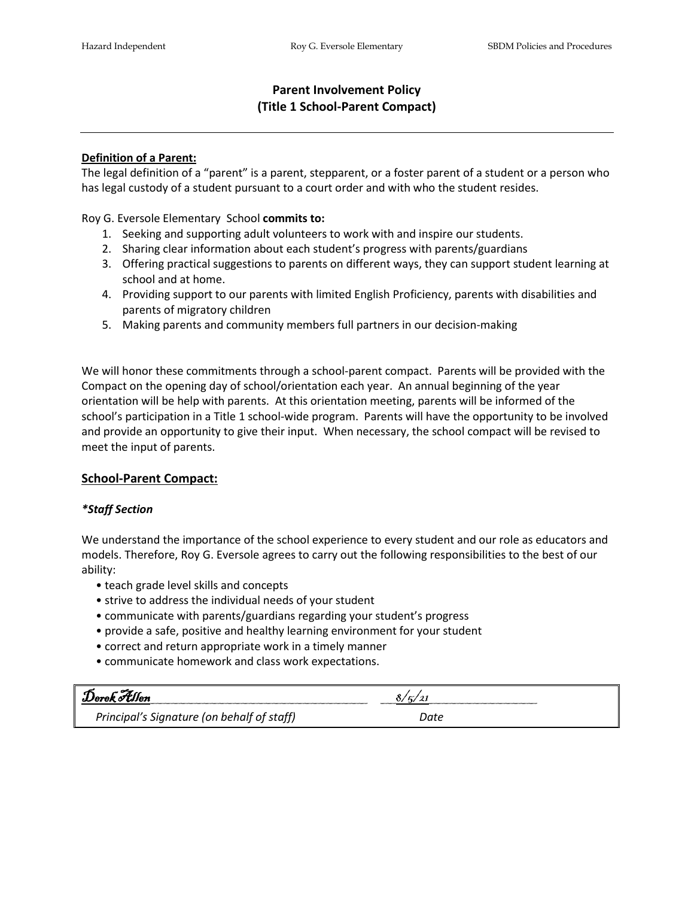# **Parent Involvement Policy (Title 1 School-Parent Compact)**

## **Definition of a Parent:**

The legal definition of a "parent" is a parent, stepparent, or a foster parent of a student or a person who has legal custody of a student pursuant to a court order and with who the student resides.

Roy G. Eversole Elementary School **commits to:**

- 1. Seeking and supporting adult volunteers to work with and inspire our students.
- 2. Sharing clear information about each student's progress with parents/guardians
- 3. Offering practical suggestions to parents on different ways, they can support student learning at school and at home.
- 4. Providing support to our parents with limited English Proficiency, parents with disabilities and parents of migratory children
- 5. Making parents and community members full partners in our decision-making

We will honor these commitments through a school-parent compact. Parents will be provided with the Compact on the opening day of school/orientation each year. An annual beginning of the year orientation will be help with parents. At this orientation meeting, parents will be informed of the school's participation in a Title 1 school-wide program. Parents will have the opportunity to be involved and provide an opportunity to give their input. When necessary, the school compact will be revised to meet the input of parents.

# **School-Parent Compact:**

#### *\*Staff Section*

We understand the importance of the school experience to every student and our role as educators and models. Therefore, Roy G. Eversole agrees to carry out the following responsibilities to the best of our ability:

- teach grade level skills and concepts
- strive to address the individual needs of your student
- communicate with parents/guardians regarding your student's progress
- provide a safe, positive and healthy learning environment for your student
- correct and return appropriate work in a timely manner
- communicate homework and class work expectations.

| Derek Allen                                | 5/2  |  |
|--------------------------------------------|------|--|
| Principal's Signature (on behalf of staff) | Date |  |